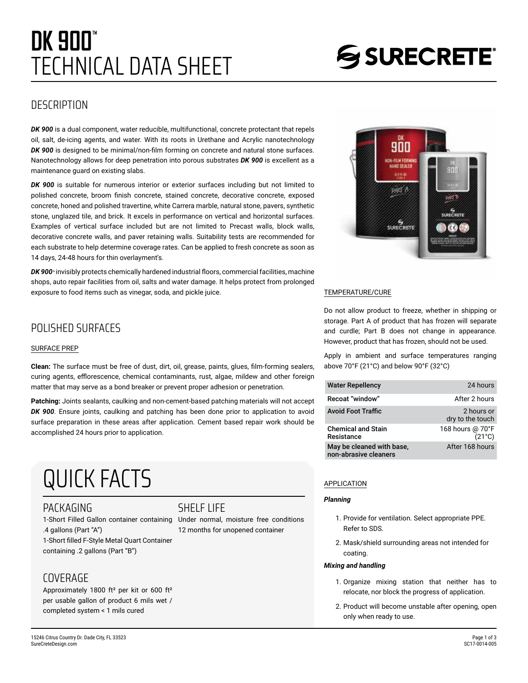## TECHNICAL DATA SHEET **DK 900"**

# SSURECRETE®

## **DESCRIPTION**

*DK 900* is a dual component, water reducible, multifunctional, concrete protectant that repels oil, salt, de-icing agents, and water. With its roots in Urethane and Acrylic nanotechnology *DK 900* is designed to be minimal/non-film forming on concrete and natural stone surfaces. Nanotechnology allows for deep penetration into porous substrates *DK 900* is excellent as a maintenance guard on existing slabs.

*DK 900* is suitable for numerous interior or exterior surfaces including but not limited to polished concrete, broom finish concrete, stained concrete, decorative concrete, exposed concrete, honed and polished travertine, white Carrera marble, natural stone, pavers, synthetic stone, unglazed tile, and brick. It excels in performance on vertical and horizontal surfaces. Examples of vertical surface included but are not limited to Precast walls, block walls, decorative concrete walls, and paver retaining walls. Suitability tests are recommended for each substrate to help determine coverage rates. Can be applied to fresh concrete as soon as 14 days, 24-48 hours for thin overlayment's.

DK 900<sup>*<sup>i</sup>* **invisibly protects chemically hardened industrial floors, commercial facilities, machine**</sup> shops, auto repair facilities from oil, salts and water damage. It helps protect from prolonged exposure to food items such as vinegar, soda, and pickle juice.

## POLISHED SURFACES

#### SURFACE PREP

**Clean:** The surface must be free of dust, dirt, oil, grease, paints, glues, film-forming sealers, curing agents, efflorescence, chemical contaminants, rust, algae, mildew and other foreign matter that may serve as a bond breaker or prevent proper adhesion or penetration.

**Patching:** Joints sealants, caulking and non-cement-based patching materials will not accept *DK 900*. Ensure joints, caulking and patching has been done prior to application to avoid surface preparation in these areas after application. Cement based repair work should be accomplished 24 hours prior to application.

## QUICK FACTS

#### PACKAGING

1-Short Filled Gallon container containing .4 gallons (Part "A") 1-Short filled F-Style Metal Quart Container containing .2 gallons (Part "B")

## COVERAGE

Approximately 1800 ft² per kit or 600 ft² per usable gallon of product 6 mils wet / completed system < 1 mils cured

## **SHELF LIFF**

Under normal, moisture free conditions 12 months for unopened container



#### TEMPERATURE/CURE

Do not allow product to freeze, whether in shipping or storage. Part A of product that has frozen will separate and curdle; Part B does not change in appearance. However, product that has frozen, should not be used.

Apply in ambient and surface temperatures ranging above 70°F (21°C) and below 90°F (32°C)

| <b>Water Repellency</b>                            | 24 hours                            |
|----------------------------------------------------|-------------------------------------|
| Recoat "window"                                    | After 2 hours                       |
| <b>Avoid Foot Traffic</b>                          | 2 hours or<br>dry to the touch      |
| <b>Chemical and Stain</b><br>Resistance            | 168 hours @ 70°F<br>$(21^{\circ}C)$ |
| May be cleaned with base,<br>non-abrasive cleaners | After 168 hours                     |

#### APPLICATION

#### *Planning*

- 1. Provide for ventilation. Select appropriate PPE. Refer to SDS.
- 2. Mask/shield surrounding areas not intended for coating.

#### *Mixing and handling*

- 1. Organize mixing station that neither has to relocate, nor block the progress of application.
- 2. Product will become unstable after opening, open only when ready to use.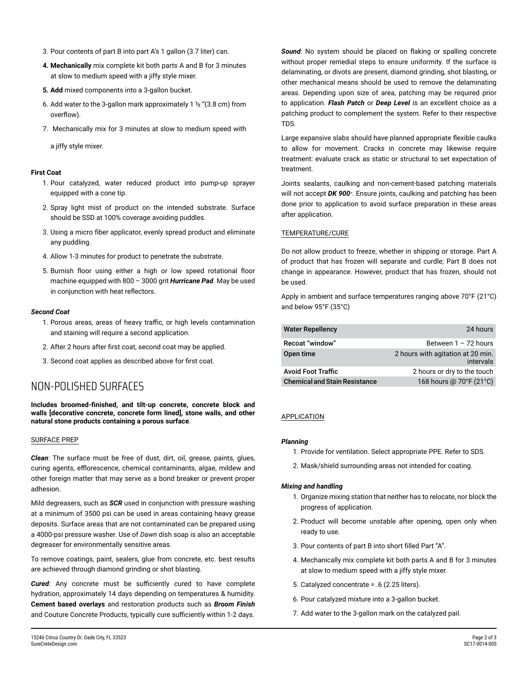- 3. Pour contents of part B into part A's 1 gallon (3.7 liter) can.
- **4. Mechanically** mix complete kit both parts A and B for 3 minutes at slow to medium speed with a jiffy style mixer.
- **5. Add** mixed components into a 3-gallon bucket.
- 6. Add water to the 3-gallon mark approximately 1  $\frac{1}{2}$  "(3.8 cm) from overflow).
- 7. Mechanically mix for 3 minutes at slow to medium speed with

a jiffy style mixer.

#### **First Coat**

- 1. Pour catalyzed, water reduced product into pump-up sprayer equipped with a cone tip.
- 2. Spray light mist of product on the intended substrate. Surface should be SSD at 100% coverage avoiding puddles.
- 3. Using a micro fiber applicator, evenly spread product and eliminate any puddling.
- 4. Allow 1-3 minutes for product to penetrate the substrate.
- 5. Burnish floor using either a high or low speed rotational floor machine equipped with 800 – 3000 grit *Hurricane Pad*. May be used in conjunction with heat reflectors.

#### *Second Coat*

- 1. Porous areas, areas of heavy traffic, or high levels contamination and staining will require a second application.
- 2. After 2 hours after first coat, second coat may be applied.
- 3. Second coat applies as described above for first coat.

## NON-POLISHED SURFACES

**Includes broomed-finished, and tilt-up concrete, concrete block and walls [decorative concrete, concrete form lined], stone walls, and other natural stone products containing a porous surface**.

#### SURFACE PREP

*Clean*: The surface must be free of dust, dirt, oil, grease, paints, glues, curing agents, efflorescence, chemical contaminants, algae, mildew and other foreign matter that may serve as a bond breaker or prevent proper adhesion.

Mild degreasers, such as *SCR* used in conjunction with pressure washing at a minimum of 3500 psi can be used in areas containing heavy grease deposits. Surface areas that are not contaminated can be prepared using a 4000-psi pressure washer. Use of *Dawn* dish soap is also an acceptable degreaser for environmentally sensitive areas.

To remove coatings, paint, sealers, glue from concrete, etc. best results are achieved through diamond grinding or shot blasting.

*Cured*: Any concrete must be sufficiently cured to have complete hydration, approximately 14 days depending on temperatures & humidity. **Cement based overlays** and restoration products such as *Broom Finish* and Couture Concrete Products, typically cure sufficiently within 1-2 days.

*Sound*: No system should be placed on flaking or spalling concrete without proper remedial steps to ensure uniformity. If the surface is delaminating, or divots are present, diamond grinding, shot blasting, or other mechanical means should be used to remove the delaminating areas. Depending upon size of area, patching may be required prior to application. *Flash Patch* or *Deep Level* is an excellent choice as a patching product to complement the system. Refer to their respective TDS.

Large expansive slabs should have planned appropriate flexible caulks to allow for movement. Cracks in concrete may likewise require treatment: evaluate crack as static or structural to set expectation of treatment.

Joints sealants, caulking and non-cement-based patching materials will not accept *DK 900<sup>x</sup>*. Ensure joints, caulking and patching has been done prior to application to avoid surface preparation in these areas after application.

#### TEMPERATURE/CURE

Do not allow product to freeze, whether in shipping or storage. Part A of product that has frozen will separate and curdle; Part B does not change in appearance. However, product that has frozen, should not be used.

Apply in ambient and surface temperatures ranging above 70°F (21°C) and below 95°F (35°C)

| <b>Water Repellency</b>              | 24 hours                                       |
|--------------------------------------|------------------------------------------------|
| Recoat "window"                      | Between $1 - 72$ hours                         |
| Open time                            | 2 hours with agitation at 20 min.<br>intervals |
| <b>Avoid Foot Traffic</b>            | 2 hours or dry to the touch                    |
| <b>Chemical and Stain Resistance</b> | 168 hours @ 70°F (21°C)                        |

#### APPLICATION

#### *Planning*

- 1. Provide for ventilation. Select appropriate PPE. Refer to SDS.
- 2. Mask/shield surrounding areas not intended for coating.

#### *Mixing and handling*

- 1. Organize mixing station that neither has to relocate, nor block the progress of application.
- 2. Product will become unstable after opening, open only when ready to use.
- 3. Pour contents of part B into short filled Part "A".
- 4. Mechanically mix complete kit both parts A and B for 3 minutes at slow to medium speed with a jiffy style mixer.
- 5. Catalyzed concentrate = .6 (2.25 liters).
- 6. Pour catalyzed mixture into a 3-gallon bucket.
- 7. Add water to the 3-gallon mark on the catalyzed pail.